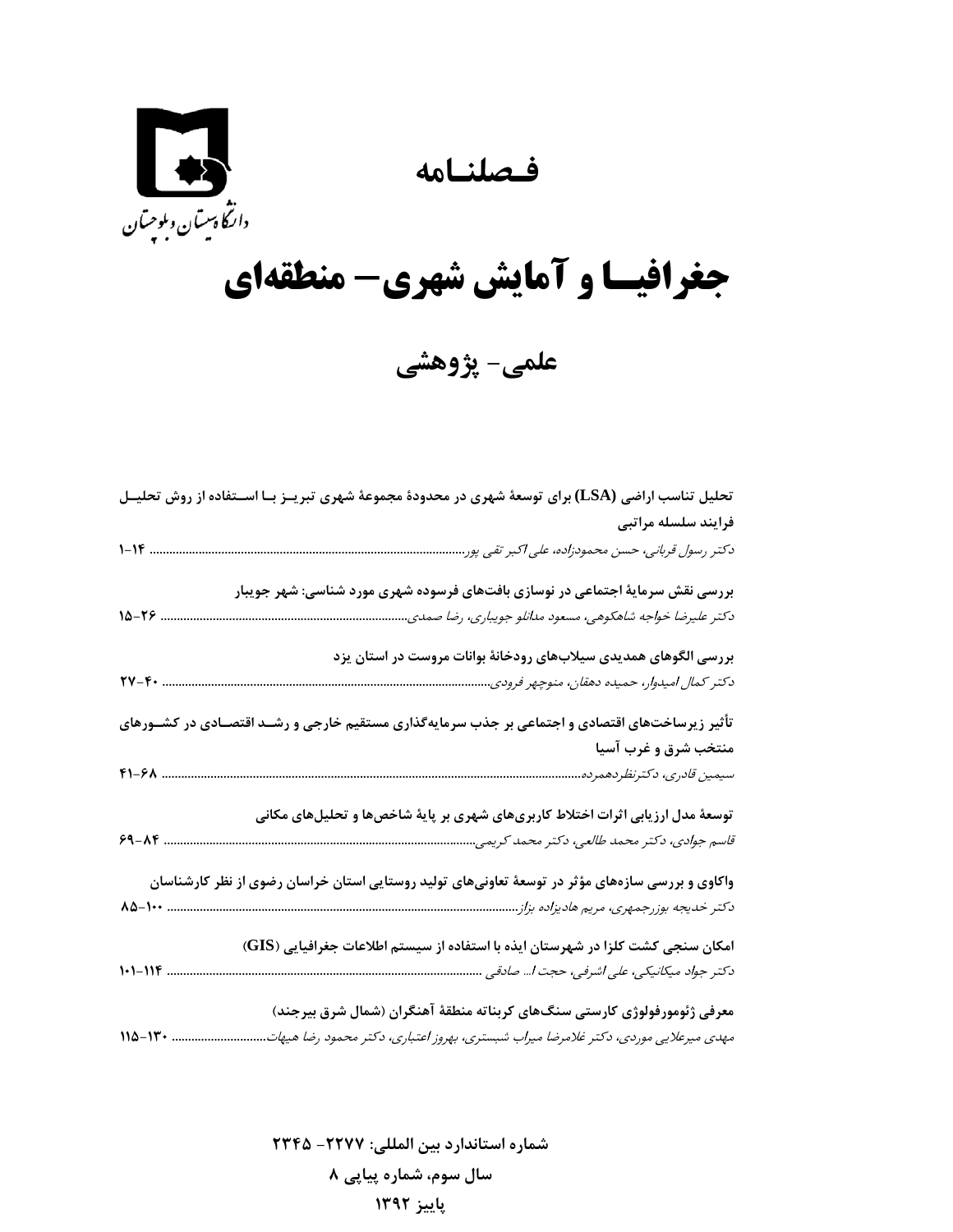**فـصلنـامه** 



## **جغرافيـا و آمايش شهري- منطقهاي**

**علمي- پژوهشي** 

| تحلیل تناسب اراضی (LSA) برای توسعهٔ شهری در محدودهٔ مجموعهٔ شهری تبریــز بـا اســتفاده از روش تحلیــل                     |
|---------------------------------------------------------------------------------------------------------------------------|
| فرايند سلسله مراتبى                                                                                                       |
| دکتر رسول قربانی، حسن محمودزاده، علی اکبر تقی پور.                                                                        |
| بررسی نقش سرمایهٔ اجتماعی در نوسازی بافتهای فرسوده شهری مورد شناسی: شهر جویبار                                            |
| $10 - 79$ .<br>دكتر عليرضا خواجه شاهكوهي، مسعود مدانلو جويباري، رضا صمدي                                                  |
| بررسی الگوهای همدیدی سیلابهای رودخانهٔ بوانات مروست در استان یزد                                                          |
| $\mathbf{Y} \mathbf{Y} - \mathbf{F} \cdot \dots \dots \dots \dots \dots$<br>دكتر كمال اميدوار، حميده دهقان، منوچهر فرودي. |
| تأثیر زیرساختهای اقتصادی و اجتماعی بر جذب سرمایهگذاری مستقیم خارجی و رشــد اقتصـادی در کشــورهای                          |
| منتخب شرق و غرب آسيا                                                                                                      |
|                                                                                                                           |
| توسعهٔ مدل ارزیابی اثرات اختلاط کاربریهای شهری بر پایهٔ شاخصها و تحلیلهای مکانی                                           |
| $9 - \lambda 6$                                                                                                           |
| واکاوی و بررسی سازههای مؤثر در توسعهٔ تعاونیهای تولید روستایی استان خراسان رضوی از نظر کارشناسان                          |
| دکتر خدیجه بوزرجمهری، مریم هادیزاده بزاز<br>15-100                                                                        |
| امکان سنجی کشت کلزا در شهرستان ایذه با استفاده از سیستم اطلاعات جغرافیایی (GIS)                                           |
| $1 - 11F$                                                                                                                 |
| معرفی ژئومورفولوژی کارستی سنگهای کربناته منطقهٔ آهنگران (شمال شرق بیرجند)                                                 |
| $110 - 11 + $<br>مهدی میرعلایی موردی، دکتر غلامرضا میراب شبستری، بهروز اعتباری، دکتر محمود رضا هیهات                      |

**شماره استاندارد بين المللي: -2277 2345 سال سوم، شماره پياپي 8 پاييز 1392**